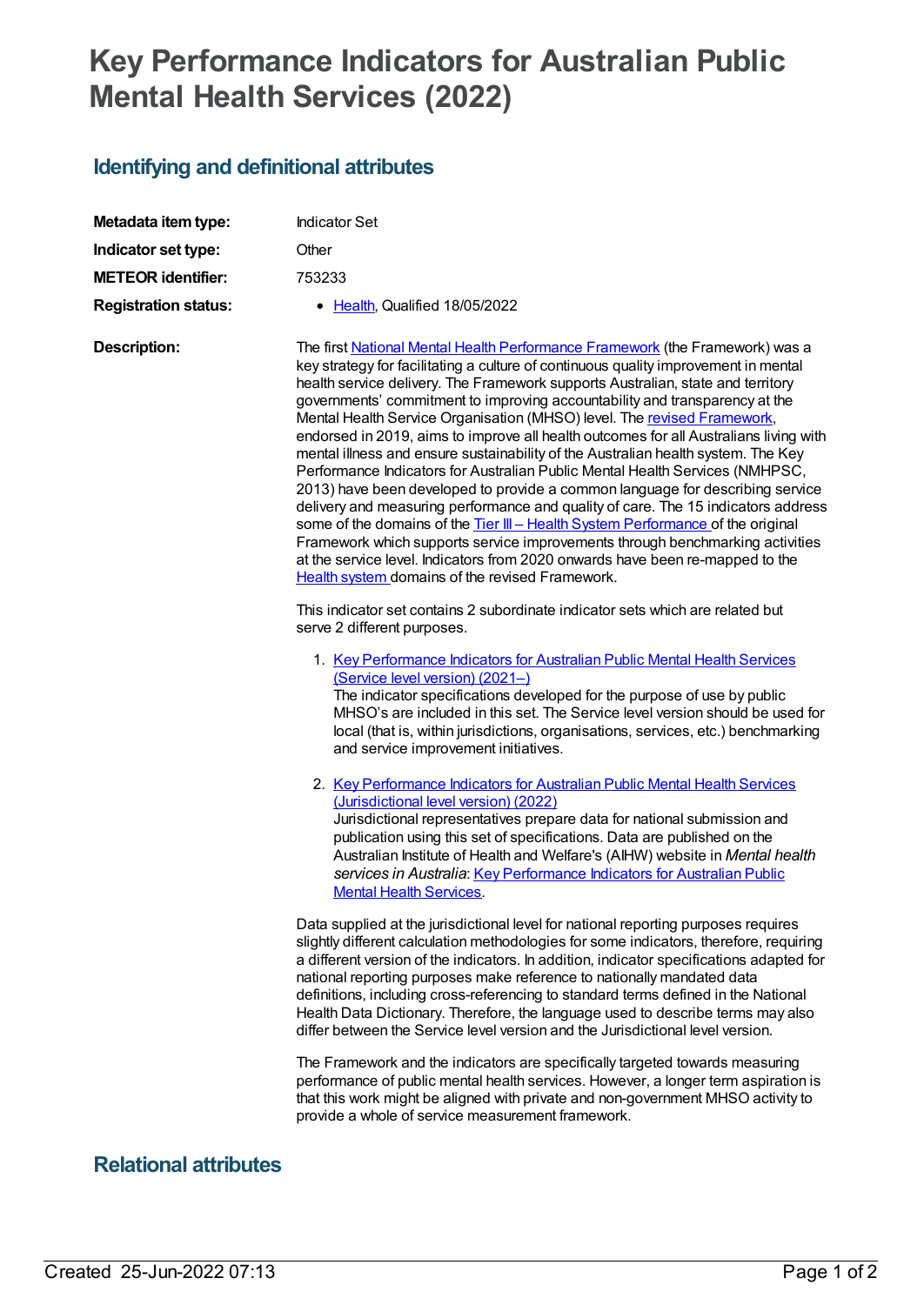## **Key Performance Indicators for Australian Public Mental Health Services (2022)**

## **Identifying and definitional attributes**

| Metadata item type:         | <b>Indicator Set</b>                                                                                                                                                                                                                                                                                                                                                                                                                                                                                                                                                                                                                                                                                                                                                                                                                                                                                                                                                                                                                                                                                                                                         |
|-----------------------------|--------------------------------------------------------------------------------------------------------------------------------------------------------------------------------------------------------------------------------------------------------------------------------------------------------------------------------------------------------------------------------------------------------------------------------------------------------------------------------------------------------------------------------------------------------------------------------------------------------------------------------------------------------------------------------------------------------------------------------------------------------------------------------------------------------------------------------------------------------------------------------------------------------------------------------------------------------------------------------------------------------------------------------------------------------------------------------------------------------------------------------------------------------------|
| Indicator set type:         | Other                                                                                                                                                                                                                                                                                                                                                                                                                                                                                                                                                                                                                                                                                                                                                                                                                                                                                                                                                                                                                                                                                                                                                        |
| <b>METEOR identifier:</b>   | 753233                                                                                                                                                                                                                                                                                                                                                                                                                                                                                                                                                                                                                                                                                                                                                                                                                                                                                                                                                                                                                                                                                                                                                       |
| <b>Registration status:</b> | • Health, Qualified 18/05/2022                                                                                                                                                                                                                                                                                                                                                                                                                                                                                                                                                                                                                                                                                                                                                                                                                                                                                                                                                                                                                                                                                                                               |
| <b>Description:</b>         | The first National Mental Health Performance Framework (the Framework) was a<br>key strategy for facilitating a culture of continuous quality improvement in mental<br>health service delivery. The Framework supports Australian, state and territory<br>governments' commitment to improving accountability and transparency at the<br>Mental Health Service Organisation (MHSO) level. The revised Framework,<br>endorsed in 2019, aims to improve all health outcomes for all Australians living with<br>mental illness and ensure sustainability of the Australian health system. The Key<br>Performance Indicators for Australian Public Mental Health Services (NMHPSC,<br>2013) have been developed to provide a common language for describing service<br>delivery and measuring performance and quality of care. The 15 indicators address<br>some of the domains of the Tier III - Health System Performance of the original<br>Framework which supports service improvements through benchmarking activities<br>at the service level. Indicators from 2020 onwards have been re-mapped to the<br>Health system domains of the revised Framework. |
|                             | This indicator set contains 2 subordinate indicator sets which are related but<br>serve 2 different purposes.                                                                                                                                                                                                                                                                                                                                                                                                                                                                                                                                                                                                                                                                                                                                                                                                                                                                                                                                                                                                                                                |
|                             | 1. Key Performance Indicators for Australian Public Mental Health Services<br>(Service level version) (2021-)<br>The indicator specifications developed for the purpose of use by public<br>MHSO's are included in this set. The Service level version should be used for<br>local (that is, within jurisdictions, organisations, services, etc.) benchmarking<br>and service improvement initiatives.                                                                                                                                                                                                                                                                                                                                                                                                                                                                                                                                                                                                                                                                                                                                                       |
|                             | 2. Key Performance Indicators for Australian Public Mental Health Services<br>(Jurisdictional level version) (2022)<br>Jurisdictional representatives prepare data for national submission and<br>publication using this set of specifications. Data are published on the<br>Australian Institute of Health and Welfare's (AIHW) website in Mental health<br>services in Australia: Key Performance Indicators for Australian Public<br><b>Mental Health Services.</b>                                                                                                                                                                                                                                                                                                                                                                                                                                                                                                                                                                                                                                                                                       |
|                             | Data supplied at the jurisdictional level for national reporting purposes requires<br>slightly different calculation methodologies for some indicators, therefore, requiring<br>a different version of the indicators. In addition, indicator specifications adapted for<br>national reporting purposes make reference to nationally mandated data<br>definitions, including cross-referencing to standard terms defined in the National<br>Health Data Dictionary. Therefore, the language used to describe terms may also<br>differ between the Service level version and the Jurisdictional level version.                                                                                                                                                                                                                                                                                                                                                                                                                                                                                                                                                |
|                             | The Framework and the indicators are specifically targeted towards measuring<br>performance of public mental health services. However, a longer term aspiration is<br>that this work might be aligned with private and non-government MHSO activity to<br>provide a whole of service measurement framework.                                                                                                                                                                                                                                                                                                                                                                                                                                                                                                                                                                                                                                                                                                                                                                                                                                                  |

## **Relational attributes**